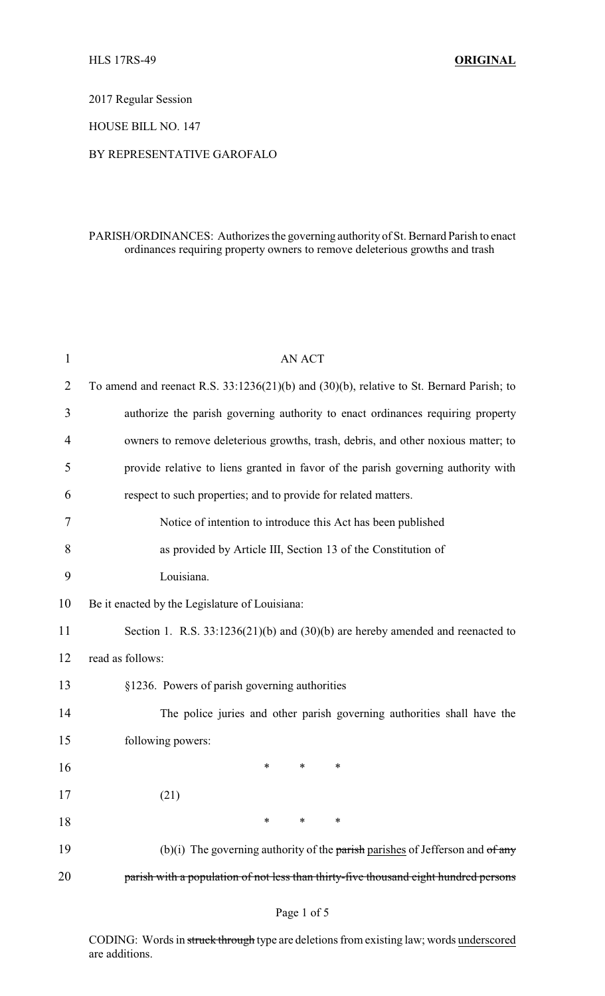2017 Regular Session

HOUSE BILL NO. 147

## BY REPRESENTATIVE GAROFALO

## PARISH/ORDINANCES: Authorizes the governing authority of St. Bernard Parish to enact ordinances requiring property owners to remove deleterious growths and trash

| 1              | <b>AN ACT</b>                                                                            |
|----------------|------------------------------------------------------------------------------------------|
| $\overline{2}$ | To amend and reenact R.S. 33:1236(21)(b) and (30)(b), relative to St. Bernard Parish; to |
| 3              | authorize the parish governing authority to enact ordinances requiring property          |
| 4              | owners to remove deleterious growths, trash, debris, and other noxious matter; to        |
| 5              | provide relative to liens granted in favor of the parish governing authority with        |
| 6              | respect to such properties; and to provide for related matters.                          |
| 7              | Notice of intention to introduce this Act has been published                             |
| 8              | as provided by Article III, Section 13 of the Constitution of                            |
| 9              | Louisiana.                                                                               |
| 10             | Be it enacted by the Legislature of Louisiana:                                           |
| 11             | Section 1. R.S. $33:1236(21)(b)$ and $(30)(b)$ are hereby amended and reenacted to       |
| 12             | read as follows:                                                                         |
| 13             | §1236. Powers of parish governing authorities                                            |
| 14             | The police juries and other parish governing authorities shall have the                  |
| 15             | following powers:                                                                        |
| 16             | *<br>∗<br>*                                                                              |
| 17             | (21)                                                                                     |
| 18             | $\ast$<br>$\ast$<br>∗                                                                    |
| 19             | (b)(i) The governing authority of the parish parishes of Jefferson and $of$ any          |
| 20             | parish with a population of not less than thirty-five thousand eight hundred persons     |

CODING: Words in struck through type are deletions from existing law; words underscored are additions.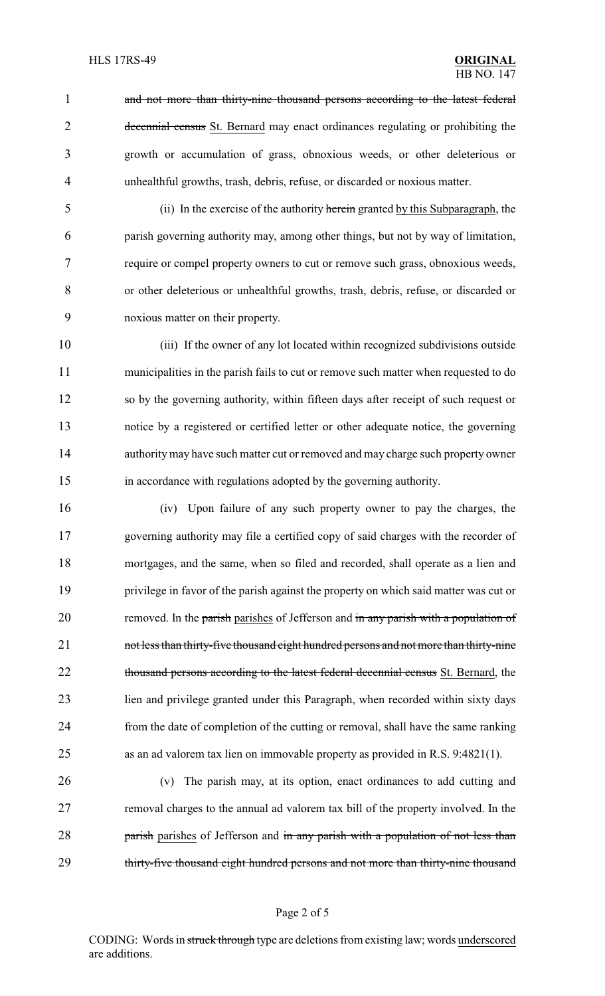1 and not more than thirty-nine thousand persons according to the latest federal 2 decennial census St. Bernard may enact ordinances regulating or prohibiting the growth or accumulation of grass, obnoxious weeds, or other deleterious or unhealthful growths, trash, debris, refuse, or discarded or noxious matter.

 (ii) In the exercise of the authority herein granted by this Subparagraph, the parish governing authority may, among other things, but not by way of limitation, require or compel property owners to cut or remove such grass, obnoxious weeds, or other deleterious or unhealthful growths, trash, debris, refuse, or discarded or noxious matter on their property.

 (iii) If the owner of any lot located within recognized subdivisions outside municipalities in the parish fails to cut or remove such matter when requested to do so by the governing authority, within fifteen days after receipt of such request or notice by a registered or certified letter or other adequate notice, the governing authority may have such matter cut or removed and may charge such property owner in accordance with regulations adopted by the governing authority.

 (iv) Upon failure of any such property owner to pay the charges, the governing authority may file a certified copy of said charges with the recorder of mortgages, and the same, when so filed and recorded, shall operate as a lien and privilege in favor of the parish against the property on which said matter was cut or 20 removed. In the parish parishes of Jefferson and in any parish with a population of 21 not less than thirty-five thousand eight hundred persons and not more than thirty-nine 22 thousand persons according to the latest federal decennial census St. Bernard, the lien and privilege granted under this Paragraph, when recorded within sixty days from the date of completion of the cutting or removal, shall have the same ranking as an ad valorem tax lien on immovable property as provided in R.S. 9:4821(1).

 (v) The parish may, at its option, enact ordinances to add cutting and removal charges to the annual ad valorem tax bill of the property involved. In the 28 parish parishes of Jefferson and in any parish with a population of not less than 29 thirty-five thousand eight hundred persons and not more than thirty-nine thousand

#### Page 2 of 5

CODING: Words in struck through type are deletions from existing law; words underscored are additions.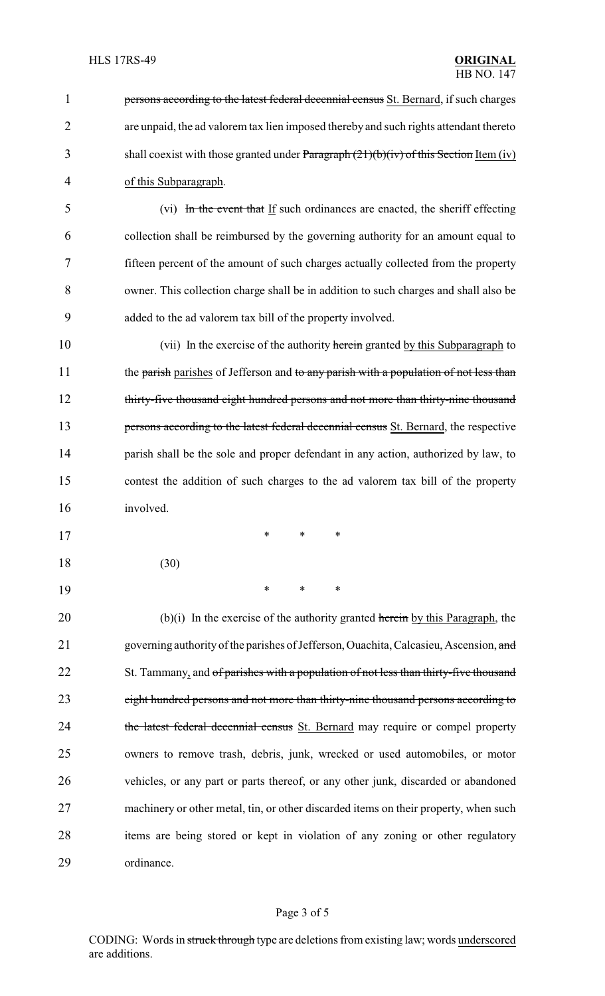**persons according to the latest federal decennial census** St. Bernard, if such charges are unpaid, the ad valorem tax lien imposed thereby and such rights attendant thereto 3 shall coexist with those granted under Paragraph (21)(b)(iv) of this Section Item (iv) of this Subparagraph. (vi) In the event that If such ordinances are enacted, the sheriff effecting collection shall be reimbursed by the governing authority for an amount equal to fifteen percent of the amount of such charges actually collected from the property

8 owner. This collection charge shall be in addition to such charges and shall also be 9 added to the ad valorem tax bill of the property involved. 10 (vii) In the exercise of the authority herein granted by this Subparagraph to

11 the parish parishes of Jefferson and to any parish with a population of not less than 12 thirty-five thousand eight hundred persons and not more than thirty-nine thousand 13 persons according to the latest federal decennial census St. Bernard, the respective 14 parish shall be the sole and proper defendant in any action, authorized by law, to 15 contest the addition of such charges to the ad valorem tax bill of the property 16 involved.

18 (30)

17 \* \* \*

19 \* \* \*

20 (b)(i) In the exercise of the authority granted herein by this Paragraph, the 21 governing authority of the parishes of Jefferson, Ouachita, Calcasieu, Ascension, and 22 St. Tammany, and of parishes with a population of not less than thirty-five thousand 23 eight hundred persons and not more than thirty-nine thousand persons according to 24 the latest federal decennial census St. Bernard may require or compel property 25 owners to remove trash, debris, junk, wrecked or used automobiles, or motor 26 vehicles, or any part or parts thereof, or any other junk, discarded or abandoned 27 machinery or other metal, tin, or other discarded items on their property, when such 28 items are being stored or kept in violation of any zoning or other regulatory 29 ordinance.

## Page 3 of 5

CODING: Words in struck through type are deletions from existing law; words underscored are additions.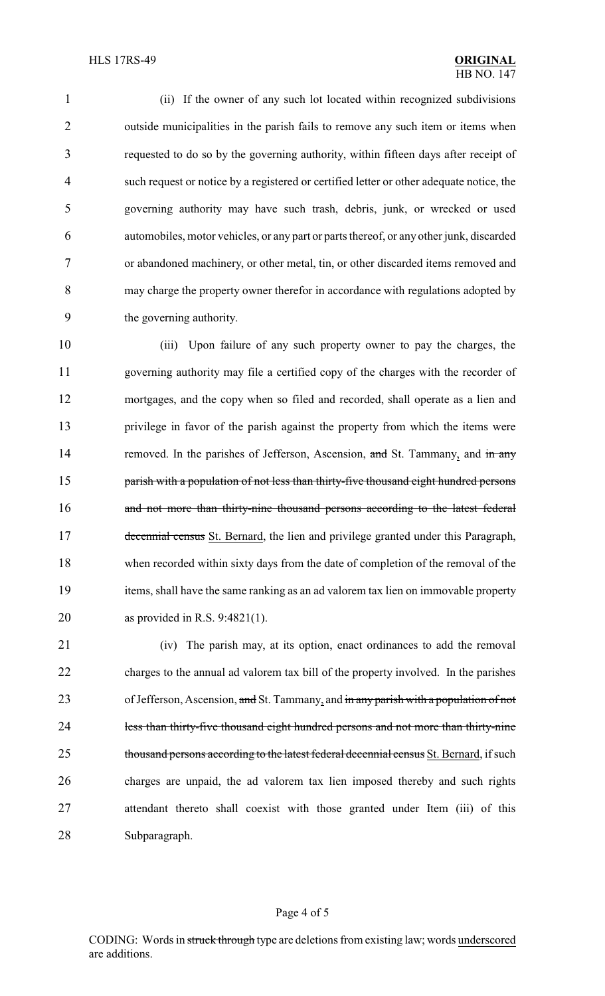(ii) If the owner of any such lot located within recognized subdivisions outside municipalities in the parish fails to remove any such item or items when requested to do so by the governing authority, within fifteen days after receipt of such request or notice by a registered or certified letter or other adequate notice, the governing authority may have such trash, debris, junk, or wrecked or used automobiles, motor vehicles, or any part or parts thereof, or any other junk, discarded or abandoned machinery, or other metal, tin, or other discarded items removed and may charge the property owner therefor in accordance with regulations adopted by the governing authority.

 (iii) Upon failure of any such property owner to pay the charges, the governing authority may file a certified copy of the charges with the recorder of mortgages, and the copy when so filed and recorded, shall operate as a lien and privilege in favor of the parish against the property from which the items were 14 removed. In the parishes of Jefferson, Ascension, and St. Tammany, and in any **parish with a population of not less than thirty-five thousand eight hundred persons** 16 and not more than thirty-nine thousand persons according to the latest federal 17 decennial census St. Bernard, the lien and privilege granted under this Paragraph, when recorded within sixty days from the date of completion of the removal of the items, shall have the same ranking as an ad valorem tax lien on immovable property as provided in R.S. 9:4821(1).

 (iv) The parish may, at its option, enact ordinances to add the removal charges to the annual ad valorem tax bill of the property involved. In the parishes 23 of Jefferson, Ascension, and St. Tammany, and in any parish with a population of not 24 less than thirty-five thousand eight hundred persons and not more than thirty-nine 25 thousand persons according to the latest federal decennial census St. Bernard, if such charges are unpaid, the ad valorem tax lien imposed thereby and such rights attendant thereto shall coexist with those granted under Item (iii) of this Subparagraph.